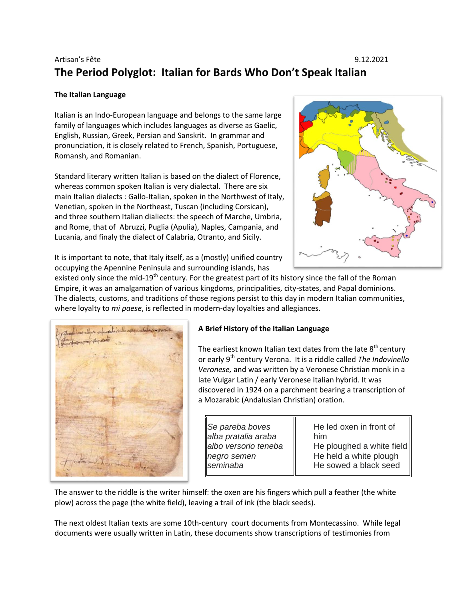# Artisan's Fête 9.12.2021 **The Period Polyglot: Italian for Bards Who Don't Speak Italian**

#### **The Italian Language**

Italian is an Indo-European language and belongs to the same large family of languages which includes languages as diverse as Gaelic, English, Russian, Greek, Persian and Sanskrit. In grammar and pronunciation, it is closely related to French, Spanish, Portuguese, Romansh, and Romanian.

Standard literary written Italian is based on the dialect of Florence, whereas common spoken Italian is very dialectal. There are six main Italian dialects : Gallo-Italian, spoken in the Northwest of Italy, Venetian, spoken in the Northeast, Tuscan (including Corsican), and three southern Italian dialiects: the speech of Marche, Umbria, and Rome, that of Abruzzi, Puglia (Apulia), Naples, Campania, and Lucania, and finaly the dialect of Calabria, Otranto, and Sicily.



It is important to note, that Italy itself, as a (mostly) unified country occupying the Apennine Peninsula and surrounding islands, has

existed only since the mid-19<sup>th</sup> century. For the greatest part of its history since the fall of the Roman Empire, it was an amalgamation of various kingdoms, principalities, city-states, and Papal dominions. The dialects, customs, and traditions of those regions persist to this day in modern Italian communities, where loyalty to *mi paese*, is reflected in modern-day loyalties and allegiances.



### **A Brief History of the Italian Language**

The earliest known Italian text dates from the late  $8<sup>th</sup>$  century or early 9<sup>th</sup> century Verona. It is a riddle called *The Indovinello Veronese,* and was written by a Veronese Christian monk in a late Vulgar Latin / early Veronese Italian hybrid. It was discovered in 1924 on a parchment bearing a transcription of a Mozarabic (Andalusian Christian) oration.

*Se pareba boves alba pratalia araba albo versorio teneba negro semen seminaba*

He led oxen in front of him He ploughed a white field He held a white plough He sowed a black seed

The answer to the riddle is the writer himself: the oxen are his fingers which pull a feather (the white plow) across the page (the white field), leaving a trail of ink (the black seeds).

The next oldest Italian texts are some 10th-century court documents from Montecassino. While legal documents were usually written in Latin, these documents show transcriptions of testimonies from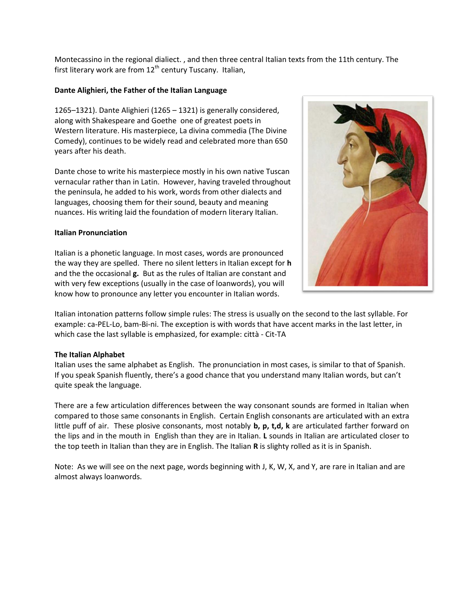Montecassino in the regional dialiect. , and then three central Italian texts from the 11th century. The first literary work are from  $12<sup>th</sup>$  century Tuscany. Italian,

#### **Dante Alighieri, the Father of the Italian Language**

1265–1321). Dante Alighieri (1265 – 1321) is generally considered, along with Shakespeare and Goethe one of greatest poets in Western literature. His masterpiece, La divina commedia (The Divine Comedy), continues to be widely read and celebrated more than 650 years after his death.

Dante chose to write his masterpiece mostly in his own native Tuscan vernacular rather than in Latin. However, having traveled throughout the peninsula, he added to his work, words from other dialects and languages, choosing them for their sound, beauty and meaning nuances. His writing laid the foundation of modern literary Italian.

#### **Italian Pronunciation**

Italian is a phonetic language. In most cases, words are pronounced the way they are spelled. There no silent letters in Italian except for **h**  and the the occasional **g.** But as the rules of Italian are constant and with very few exceptions (usually in the case of loanwords), you will know how to pronounce any letter you encounter in Italian words.



Italian intonation patterns follow simple rules: The stress is usually on the second to the last syllable. For example: ca-PEL-Lo, bam-Bi-ni. The exception is with words that have accent marks in the last letter, in which case the last syllable is emphasized, for example: città - Cit-TA

#### **The Italian Alphabet**

Italian uses the same alphabet as English. The pronunciation in most cases, is similar to that of Spanish. If you speak Spanish fluently, there's a good chance that you understand many Italian words, but can't quite speak the language.

There are a few articulation differences between the way consonant sounds are formed in Italian when compared to those same consonants in English. Certain English consonants are articulated with an extra little puff of air. These plosive consonants, most notably **b, p, t,d, k** are articulated farther forward on the lips and in the mouth in English than they are in Italian. **L** sounds in Italian are articulated closer to the top teeth in Italian than they are in English. The Italian **R** is slighty rolled as it is in Spanish.

Note: As we will see on the next page, words beginning with J, K, W, X, and Y, are rare in Italian and are almost always loanwords.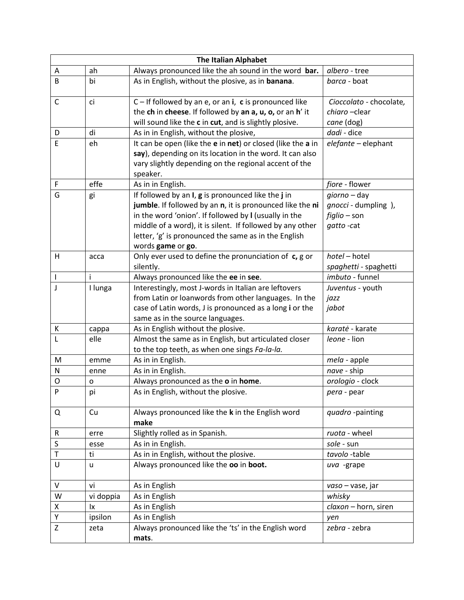| <b>The Italian Alphabet</b> |           |                                                             |                         |  |
|-----------------------------|-----------|-------------------------------------------------------------|-------------------------|--|
| Α                           | ah        | Always pronounced like the ah sound in the word bar.        | albero - tree           |  |
| B                           | bi        | As in English, without the plosive, as in banana.           | barca - boat            |  |
| C                           | ci        | $C -$ If followed by an e, or an i, c is pronounced like    | Cioccolato - chocolate, |  |
|                             |           | the ch in cheese. If followed by an a, u, o, or an h' it    | chiaro-clear            |  |
|                             |           | will sound like the c in cut, and is slightly plosive.      | cane (dog)              |  |
| D                           | di        | As in in English, without the plosive,                      | dadi - dice             |  |
| E                           | eh        | It can be open (like the e in net) or closed (like the a in | elefante - elephant     |  |
|                             |           | say), depending on its location in the word. It can also    |                         |  |
|                             |           | vary slightly depending on the regional accent of the       |                         |  |
|                             |           | speaker.                                                    |                         |  |
| F                           | effe      | As in in English.                                           | fiore - flower          |  |
| G                           | gi        | If followed by an $I$ , $g$ is pronounced like the $j$ in   | giorno - day            |  |
|                             |           | jumble. If followed by an n, it is pronounced like the ni   | gnocci - dumpling),     |  |
|                             |           | in the word 'onion'. If followed by I (usually in the       | figlio - son            |  |
|                             |           | middle of a word), it is silent. If followed by any other   | gatto-cat               |  |
|                             |           | letter, 'g' is pronounced the same as in the English        |                         |  |
|                             |           | words game or go.                                           |                         |  |
| H                           | acca      | Only ever used to define the pronunciation of c, g or       | hotel - hotel           |  |
|                             |           | silently.                                                   | spaghetti - spaghetti   |  |
| $\mathsf{I}$                | i         | Always pronounced like the ee in see.                       | imbuto - funnel         |  |
| J                           | I lunga   | Interestingly, most J-words in Italian are leftovers        | Juventus - youth        |  |
|                             |           | from Latin or loanwords from other languages. In the        | jazz                    |  |
|                             |           | case of Latin words, J is pronounced as a long i or the     | jabot                   |  |
|                             |           | same as in the source languages.                            |                         |  |
| К                           | cappa     | As in English without the plosive.                          | karatė - karate         |  |
| L                           | elle      | Almost the same as in English, but articulated closer       | leone - lion            |  |
|                             |           | to the top teeth, as when one sings Fa-la-la.               |                         |  |
| M                           | emme      | As in in English.                                           | mela - apple            |  |
| N                           | enne      | As in in English.                                           | nave - ship             |  |
| O                           | o         | Always pronounced as the o in home.                         | orologio - clock        |  |
| P                           | pi        | As in English, without the plosive                          | pera - pear             |  |
| Q                           | Cu        | Always pronounced like the k in the English word<br>make    | quadro-painting         |  |
| R                           | erre      | Slightly rolled as in Spanish.                              | ruota - wheel           |  |
| S                           | esse      | As in in English.                                           | sole - sun              |  |
| Τ                           | ti        | As in in English, without the plosive.                      | tavolo-table            |  |
| U                           | u         | Always pronounced like the oo in boot.                      | uva -grape              |  |
| V                           | vi        | As in English                                               | vaso – vase, jar        |  |
| W                           | vi doppia | As in English                                               | whisky                  |  |
| X                           | <b>Ix</b> | As in English                                               | claxon - horn, siren    |  |
| Υ                           | ipsilon   | As in English                                               | yen                     |  |
| Z                           | zeta      | Always pronounced like the 'ts' in the English word         | zebra - zebra           |  |
|                             |           | mats.                                                       |                         |  |